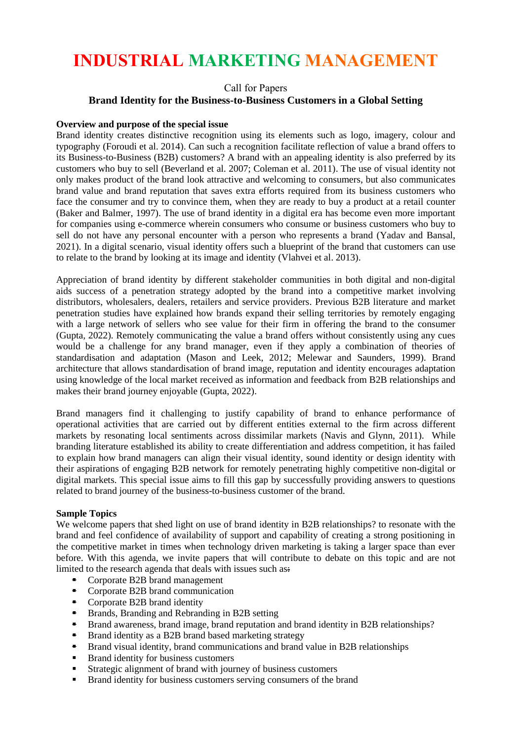# **INDUSTRIAL MARKETING MANAGEMENT**

Call for Papers

## **Brand Identity for the Business-to-Business Customers in a Global Setting**

## **Overview and purpose of the special issue**

Brand identity creates distinctive recognition using its elements such as logo, imagery, colour and typography (Foroudi et al. 2014). Can such a recognition facilitate reflection of value a brand offers to its Business-to-Business (B2B) customers? A brand with an appealing identity is also preferred by its customers who buy to sell (Beverland et al. 2007; Coleman et al. 2011). The use of visual identity not only makes product of the brand look attractive and welcoming to consumers, but also communicates brand value and brand reputation that saves extra efforts required from its business customers who face the consumer and try to convince them, when they are ready to buy a product at a retail counter (Baker and Balmer, 1997). The use of brand identity in a digital era has become even more important for companies using e-commerce wherein consumers who consume or business customers who buy to sell do not have any personal encounter with a person who represents a brand (Yadav and Bansal, 2021). In a digital scenario, visual identity offers such a blueprint of the brand that customers can use to relate to the brand by looking at its image and identity (Vlahvei et al. 2013).

Appreciation of brand identity by different stakeholder communities in both digital and non-digital aids success of a penetration strategy adopted by the brand into a competitive market involving distributors, wholesalers, dealers, retailers and service providers. Previous B2B literature and market penetration studies have explained how brands expand their selling territories by remotely engaging with a large network of sellers who see value for their firm in offering the brand to the consumer (Gupta, 2022). Remotely communicating the value a brand offers without consistently using any cues would be a challenge for any brand manager, even if they apply a combination of theories of standardisation and adaptation (Mason and Leek, 2012; Melewar and Saunders, 1999). Brand architecture that allows standardisation of brand image, reputation and identity encourages adaptation using knowledge of the local market received as information and feedback from B2B relationships and makes their brand journey enjoyable (Gupta, 2022).

Brand managers find it challenging to justify capability of brand to enhance performance of operational activities that are carried out by different entities external to the firm across different markets by resonating local sentiments across dissimilar markets (Navis and Glynn, 2011). While branding literature established its ability to create differentiation and address competition, it has failed to explain how brand managers can align their visual identity, sound identity or design identity with their aspirations of engaging B2B network for remotely penetrating highly competitive non-digital or digital markets. This special issue aims to fill this gap by successfully providing answers to questions related to brand journey of the business-to-business customer of the brand.

## **Sample Topics**

We welcome papers that shed light on use of brand identity in B2B relationships? to resonate with the brand and feel confidence of availability of support and capability of creating a strong positioning in the competitive market in times when technology driven marketing is taking a larger space than ever before. With this agenda, we invite papers that will contribute to debate on this topic and are not limited to the research agenda that deals with issues such as-

- Corporate B2B brand management
- Corporate B2B brand communication
- Corporate B2B brand identity
- Brands, Branding and Rebranding in B2B setting
- Brand awareness, brand image, brand reputation and brand identity in B2B relationships?
- Brand identity as a B2B brand based marketing strategy
- Brand visual identity, brand communications and brand value in B2B relationships
- **Brand identity for business customers**
- Strategic alignment of brand with journey of business customers
- **Brand identity for business customers serving consumers of the brand**